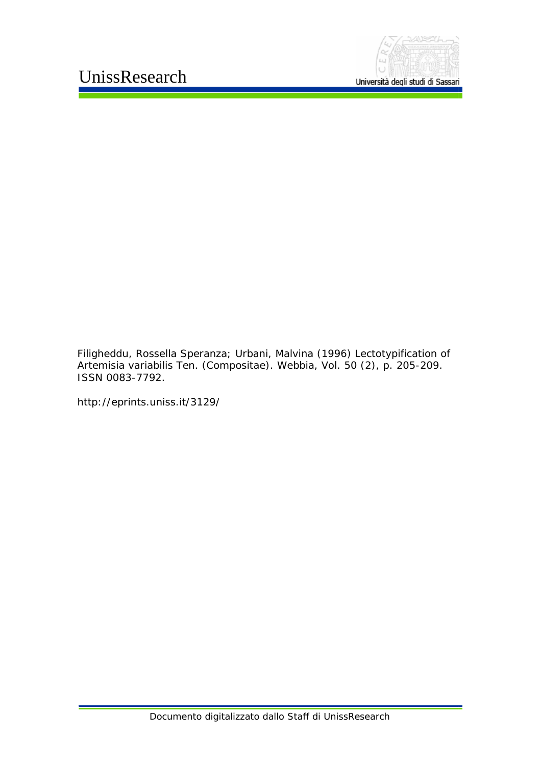

Filigheddu, Rossella Speranza; Urbani, Malvina (1996) *Lectotypification of Artemisia variabilis Ten. (Compositae).* Webbia, Vol. 50 (2), p. 205-209. ISSN 0083-7792.

http://eprints.uniss.it/3129/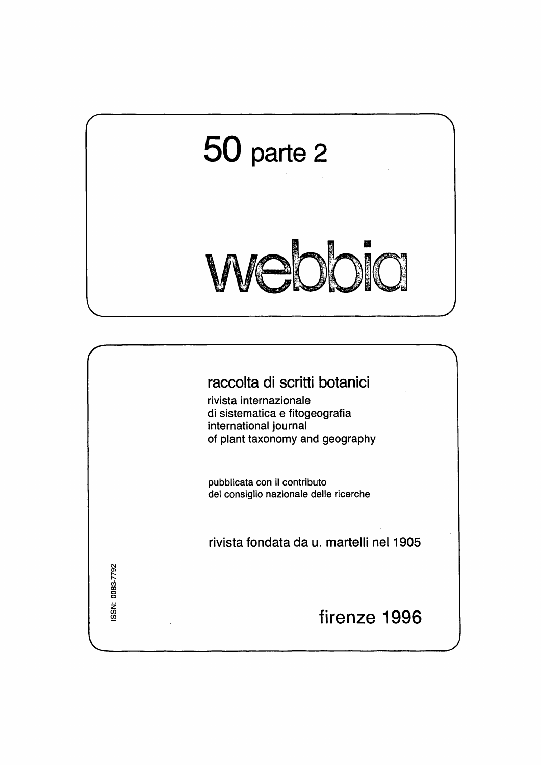

## raccolta di scritti botanici

rivista internazionale di sistematica e fitogeografia international journal of plant taxonomy and geography

pubblicata con il contributo<sup>1</sup> del consiglio nazionale delle ricerche

rivista fondata da u. martelli nel1905

0083-7792 iSSN:<br>C

# firenze 1996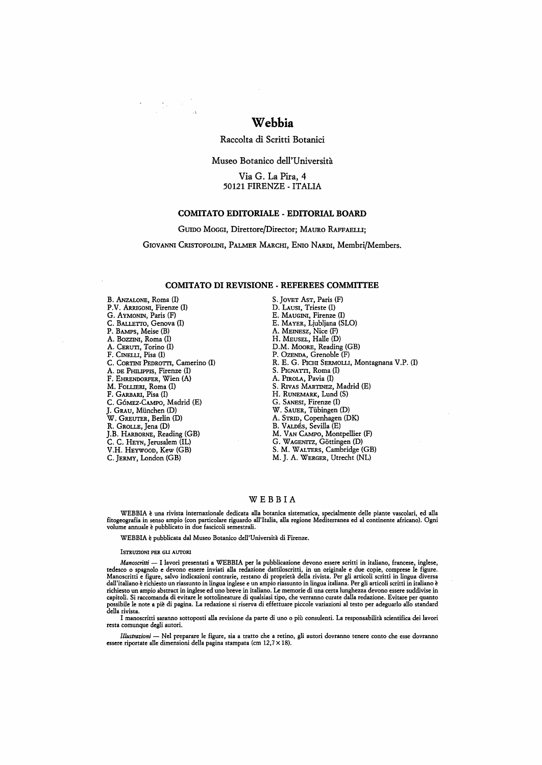## **Webbia**

Raccolta di Scritti Botanici

Museo Botanico dell'Universita

Via G. La Pira, 4 50121 FIRENZE - ITALIA

## **COMITATO EDITORIALE - EDITORIAL BOARD**

GUIDO MOGGI, Direttore/Director; MAURO RAFFAELLI;

GIOVANNI CRISTOFOLINI, PALMER MARCHI, ENIO NARDI, Membri/Members.

#### **COMITATO DI REVISIONE - REFEREES COMMITTEE**

B. ANZALONE, Roma (I) P.V. Arrigoni, Firenze (I) G. AYMONIN, Paris (F) C. BALLETTO, Genova (I) P. BAMPs, Meise (B) A. BOZZINI, Roma (I) A. CERUTI, Torino (I) F. CINELU, Pisa (I) C. CORTINI PEDROTTI, Camerino (I) A. DE PHILlPPIS, Firenze (I) F. EHRENDORFER, Wien (A) M. FOlllERI, Roma (I) F. GARBARI, Pisa (I) C. Gómez-Campo, Madrid (E) J. GRAU, Miinchen (D) W. GREUTER, Berlin (D) R. GROLLE, Jena (D) J.B. HARBORNE, Reading (GB) C. C. HEYN, Jerusalem (lL) V.H. HEYWOOD, Kew (GB) C. JERMY, London (GB)

 $\mathcal{O}(\log n)$ 

S. JOVET AST, Paris (F) D. LAUSI, Trieste (I) E. MAUGINI, Firenze (I) E. MAYER, Ljubljana (SLO) A. MEINESZ, Nice (F) H. MEUSEL, Halle (D) D.M. MOORE, Reading (GB) P. OZENDA, Grenoble (F) R. E. G. PICHI SERMOLLI, Montagnana V.P. (I) S. PIGNATTI, Roma (I) A. PmoLA, Pavia (I) S. RIvAS MARTINEZ, Madrid (E) H. RUNEMARK, Lund (S) G. SANESI, Firenze (I) W. SAUER, Tiibingen (D) A. STRID, Copenhagen (DK) B. VALDÉS, Sevilla (E) M. VAN CAMPO, Montpellier (F) G. WAGENITZ, Göttingen (D) S. M. W ALTERS, Cambridge (GB) M. J. A. WERGER, Utrecht (NL)

### WEBBIA

WEBBIA e una rivista internazionale dedicata alla botanica sistematica, specialmente delle piante vascolari, ed alla fitogeografia in senso ampio (con particolare riguardo all'Italia, alla regione Mediterranea ed al continente africano). Ogni<br>volume annuale è pubblicato in due fascicoli semestrali.

WEBBIA e pubblicata dal Museo Botanico dell'Universita di Firenze.

#### ISTRUZIONI PER GU AUTORl

*Manoscritti* — I lavori presentati a WEBBIA per la pubblicazione devono essere scritti in italiano, francese, inglese,<br>tedesco o spagnolo e devono essere inviati alla redazione dattiloscritti, in un originale e due copie, dall'italiano e richiesto un riassunto in lingua inglese e un ampio riassunto in lingua italiana. Per gli articoli scritti in italiano e richiesto un ampio abstract in inglese ed uno breve in italiano. Le memorie di una certa lunghezza devono essere suddivise in<br>capitoli. Si raccomanda di evitare le sottolineature di qualsiasi tipo, che verranno curate dall

I manoscritti saranno sottoposti alla revisione da parte di uno o più consulenti. La responsabilità scientifica dei lavori resta comunque degli autori.

*Illustrazioni* — Nel preparare le figure, sia a tratto che a retino, gli autori dovranno tenere conto che esse dovranno essere riportate alle dimensioni della pagina stampata (cm 12,7 × 18).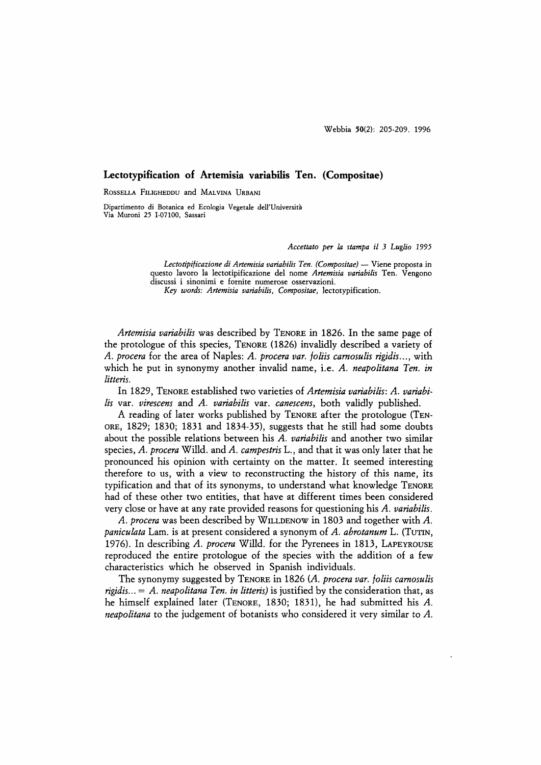## **Lectotypification of Artemisia variabilis Ten. (Compositae)**

ROSSELLA FILIGHEDDU and MALVINA URBANI

Dipartimento di Botanica ed Ecologia Vegetale dell'Universita Via Muroni 25 1-07100, Sassari

*Accettato per* la *stampa it* 3 *Luglio* 1995

Lectotipificazione di Artemisia variabilis Ten. (Compositae) - Viene proposta in questo lavoro la lectotipificazione del nome *Artemisia variabilis* Ten. Vengono discussi i sinonimi e fornite numerose osservazioni. *Key words: Artemisia variabitis, Compositae,* lectotypification.

*Artemisia variabilis* was described by TENORE in 1826. In the same page of the protologue of this species, TENORE (1826) invalidly described a variety of *A. procera* for the area of Naples: *A. procera var. foliis camosulis rigidis ... ,* with which he put in synonymy another invalid name, i.e. *A. neapolitana Ten. in litteris.* 

In 1829, TENORE established two varieties of *Artemisia variabilis: A. variabilis* var. *virescens* and *A. variabilis* var. *canescens,* both validly published.

A reading of later works published by TENORE after the protologue (TEN-ORE, 1829; 1830; 1831 and 1834-35), suggests that he still had some doubts about the possible relations between his *A. variabilis* and another two similar species, *A. procera* Willd. and *A. campestris* L., and that it was only later that he pronounced his opinion with certainty on the matter. It seemed interesting therefore to us, with a view to reconstructing the history of this name, its typification and that of its synonyms, to understand what knowledge TENORE had of these other two entities, that have at different times been considered very close or have at any rate provided reasons for questioning his *A. variabilis.* 

*A. procera* was been described by WILLDENOW in 1803 and together with *A. paniculata* Lam. is at present considered a synonym of *A. abrotanum* L. (TUTIN, 1976). In describing *A. procera* Willd. for the Pyrenees in 1813, LAPEYROUSE reproduced the entire protologue of the species with the addition of a few characteristics which he observed in Spanish individuals.

The synonymy suggested by TENORE in 1826 *(A. procera var. foliis carnosulis rigidis ...* = *A. neapolitana Ten. in litteris)* is justified by the consideration that, as he himself explained later (TENORE, 1830; 1831), he had submitted his *A. neapolitana* to the judgement of botanists who considered it very similar to *A.*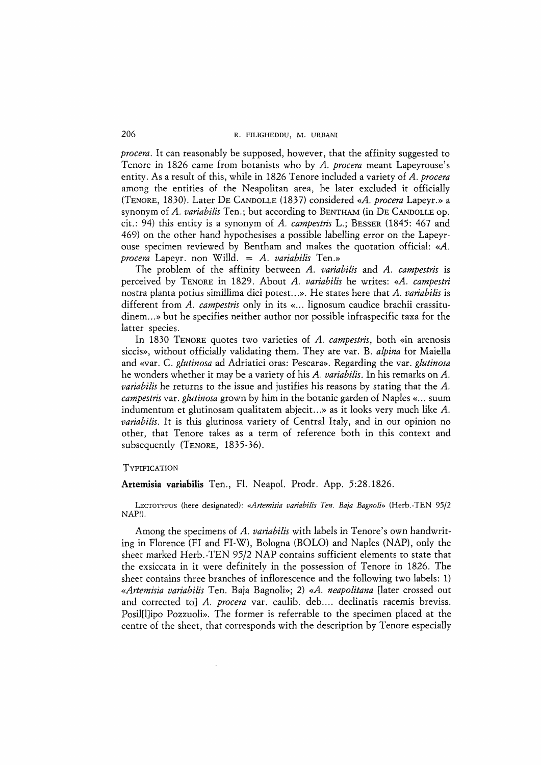*procera.* It can reasonably be supposed, however, that the affinity suggested to Tenore in 1826 came from botanists who by *A. procera* meant Lapeyrouse's entity. As a result of this, while in 1826 Tenore included a variety of *A. procera*  among the entities of the Neapolitan area, he later excluded it officially (TENORE, 1830). Later DE CANDOLLE (1837) considered *«A. procera* Lapeyr.» a synonym of *A. variabilis* Ten.; but according to BENTHAM (in DE CANDOLLE op. cit.: 94) this entity is a synonym of *A. campestris* L.; BESSER (1845: 467 and 469) on the other hand hypothesises a possible labelling error on the Lapeyrouse specimen reviewed by Bentham and makes the quotation official: *«A. procera* Lapeyr. non Willd. = *A. variabilis* Ten.»

The problem of the affinity between *A. variabilis* and *A. campestris* is perceived by TENORE in 1829. About *A. variabilis* he writes: *«A. campestri*  nostra planta potius simillima dici potest...». He states here that *A. variabilis* is different from *A. campestris* only in its « ... lignosum caudice brachii crassitudinem ... » but he specifies neither author nor possible infraspecific taxa for the latter species.

In 1830 TENORE quotes two varieties of *A. campestris*, both «in arenosis siccis», without officially validating them. They are var. B. *alpina* for Maiella and «var. C. *glutinosa* ad Adriatici oras: Pescara». Regarding the var. *glutinosa*  he wonders whether it may be a variety of his *A. variabilis.* In his remarks on *A. variabilis* he returns to the issue and justifies his reasons by stating that the *A. campestris* var. *glutinosa* grown by him in the botanic garden of Naples « ... suum indumentum et glutinosam qualitatem abjecit...» as it looks very much like *A*. *variabilis.* It is this glutinosa variety of Central Italy, and in our opinion no other, that Tenore takes as a term of reference both in this context and subsequently (TENORE, 1835-36).

## **TYPIFICATION**

**Artemisia variabilis** Ten., FI. NeapoI. Prodr. App. 5:28.1826.

LECTOTYPUS (here designated): *«Artemisia variabilis Ten. Ba;a Bagnoli»* (Herb.-TEN 95/2 NAP!).

Among the specimens of *A. variabilis* with labels in Tenore's own handwriting in Florence (FI and FI-W), Bologna (BOLO) and Naples (NAP), only the sheet marked Herb.-TEN 95/2 NAP contains sufficient elements to state that the exsiccata in it were definitely in the possession of Tenore in 1826. The sheet contains three branches of inflorescence and the following two labels: 1) *«Artemisia variabilis* Ten. Baja Bagnoli»; 2) *«A. neapolitana* [later crossed out and corrected to] A. procera var. caulib. deb.... declinatis racemis breviss. Posil[l]ipo Pozzuoli». The former is referrable to the specimen placed at the centre of the sheet, that corresponds with the description by Tenore especially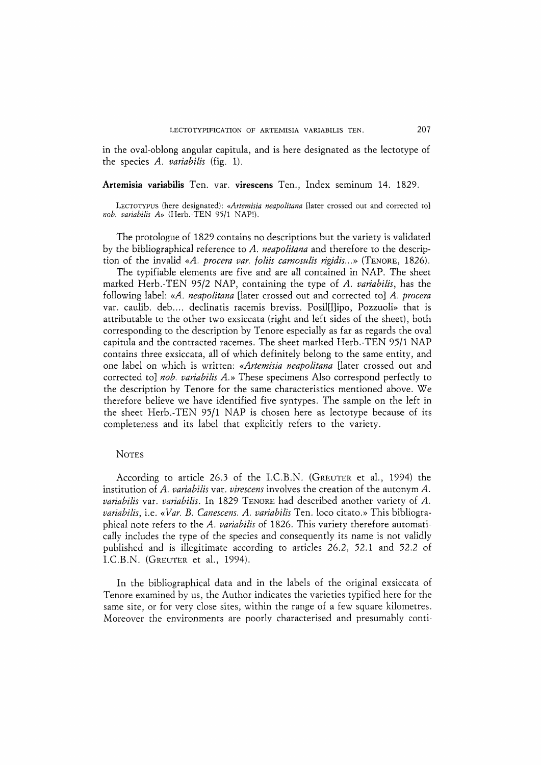in the oval-oblong angular capitula, and is here designated as the lectotype of the species *A. variabilis* (fig. 1).

## **Artemisia variabilis** Ten. var. **virescens** Ten., Index seminum 14. 1829.

LECTOTYPUS (here designated): *«Artemisia neapolitana* [later crossed out and corrected to] *nob. variabilis A»* (Herb.-TEN 95/1 NAP!).

The protologue of 1829 contains no descriptions but the variety is validated by the bibliographical reference to *A. neapolitana* and therefore to the description of the invalid *«A. procera var. /oliis carnosulis rigidis ...* » (TENORE, 1826).

The typifiable elements are five and are all contained in NAP. The sheet marked Herb.-TEN 95/2 NAP, containing the type of *A. variabilis,* has the following label: *«A. neapolitana* [later crossed out and corrected to] *A. procera*  var. caulib. deb.... declinatis racemis breviss. Posil[l]ipo, Pozzuoli» that is attributable to the other two exsiccata (right and left sides of the sheet), both corresponding to the description by Tenore especially as far as regards the oval capitula and the contracted racemes. The sheet marked Herb.-TEN 95/1 NAP contains three exsiccata, all of which definitely belong to the same entity, and one label on which is written: *«Artemisia neapolitana* [later crossed out and corrected to] *nob. variabilis A.»* These specimens Also correspond perfectly to the description by Tenore for the same characteristics mentioned above. We therefore believe we have identified five syntypes. The sample on the left in the sheet Herb.-TEN 95/1 NAP is chosen here as lectotype because of its completeness and its label that explicitly refers to the variety.

## **NOTES**

According to article 26.3 of the LC.B.N. (GREUTER et aI., 1994) the institution of *A. variabilis* var. *virescens* involves the creation of the autonym *A. variabilis* var. *variabilis.* In 1829 TENORE had described another variety of *A. variabilis,* i.e. *«Var. B. Canescens. A. variabilis* Ten. loco citato.» This bibliographical note refers to the *A. variabilis* of 1826. This variety therefore automatically includes the type of the species and consequently its name is not validly published and is illegitimate according to articles 26.2, 52.1 and 52.2 of LC.B.N. (GREUTER et aI., 1994).

In the bibliographical data and in the labels of the original exsiccata of Tenore examined by us, the Author indicates the varieties typified here for the same site, or for very close sites, within the range of a few square kilometres. Moreover the environments are poorly characterised and presumably conti-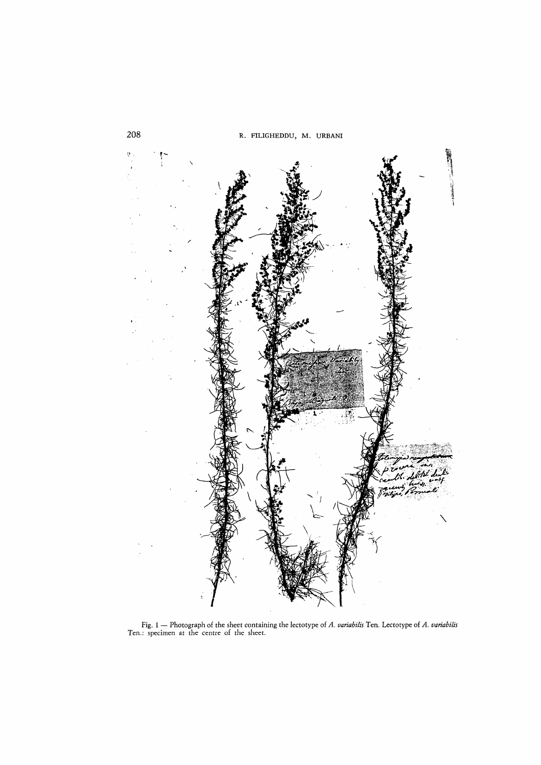

Fig. 1 - Photograph of the sheet containing the lectotype of *A. variabilis* Ten. Lectotype of *A. variabilis*  Ten.: specimen at the centre of the sheet.